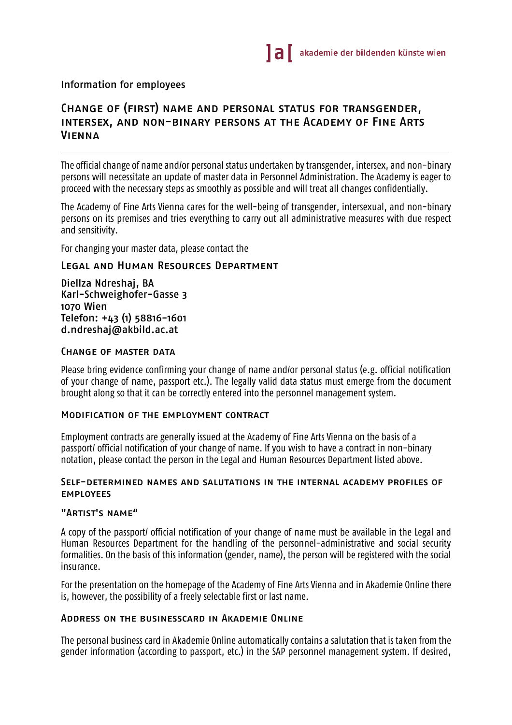## Information for employees

# Change of (first) name and personal status for transgender, intersex, and non-binary persons at the Academy of Fine Arts Vienna

The official change of name and/or personal status undertaken by transgender, intersex, and non-binary persons will necessitate an update of master data in Personnel Administration. The Academy is eager to proceed with the necessary steps as smoothly as possible and will treat all changes confidentially.

The Academy of Fine Arts Vienna cares for the well-being of transgender, intersexual, and non-binary persons on its premises and tries everything to carry out all administrative measures with due respect and sensitivity.

For changing your master data, please contact the

## Legal and Human Resources Department

Diellza Ndreshaj, BA Karl-Schweighofer-Gasse 3 1070 Wien Telefon: +43 (1) 58816-1601 d.ndreshaj@akbild.ac.at

#### Change of master data

Please bring evidence confirming your change of name and/or personal status (e.g. official notification of your change of name, passport etc.). The legally valid data status must emerge from the document brought along so that it can be correctly entered into the personnel management system.

#### Modification of the employment contract

Employment contracts are generally issued at the Academy of Fine Arts Vienna on the basis of a passport/ official notification of your change of name. If you wish to have a contract in non-binary notation, please contact the person in the Legal and Human Resources Department listed above.

#### Self-determined names and salutations in the internal academy profiles of employees

### "Artist's name"

A copy of the passport/ official notification of your change of name must be available in the Legal and Human Resources Department for the handling of the personnel-administrative and social security formalities. On the basis of this information (gender, name), the person will be registered with the social insurance.

For the presentation on the homepage of the Academy of Fine Arts Vienna and in Akademie Online there is, however, the possibility of a freely selectable first or last name.

### Address on the businesscard in Akademie Online

The personal business card in Akademie Online automatically contains a salutation that is taken from the gender information (according to passport, etc.) in the SAP personnel management system. If desired,